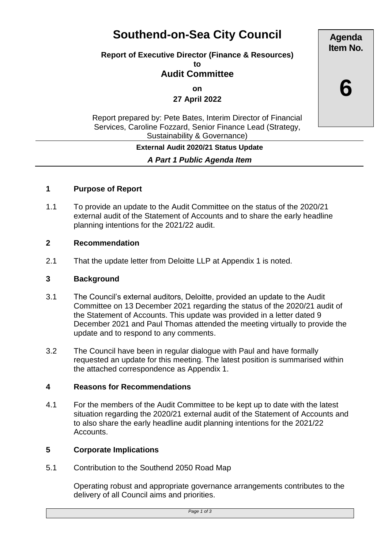# **Southend-on-Sea City Council**

# **Report of Executive Director (Finance & Resources)**

**to**

# **Audit Committee**

**on**

**27 April 2022**

Report prepared by: Pete Bates, Interim Director of Financial Services, Caroline Fozzard, Senior Finance Lead (Strategy, Sustainability & Governance)

#### **External Audit 2020/21 Status Update**

*A Part 1 Public Agenda Item*

#### **1 Purpose of Report**

1.1 To provide an update to the Audit Committee on the status of the 2020/21 external audit of the Statement of Accounts and to share the early headline planning intentions for the 2021/22 audit.

#### **2 Recommendation**

2.1 That the update letter from Deloitte LLP at Appendix 1 is noted.

#### **3 Background**

- 3.1 The Council's external auditors, Deloitte, provided an update to the Audit Committee on 13 December 2021 regarding the status of the 2020/21 audit of the Statement of Accounts. This update was provided in a letter dated 9 December 2021 and Paul Thomas attended the meeting virtually to provide the update and to respond to any comments.
- 3.2 The Council have been in regular dialogue with Paul and have formally requested an update for this meeting. The latest position is summarised within the attached correspondence as Appendix 1.

#### **4 Reasons for Recommendations**

4.1 For the members of the Audit Committee to be kept up to date with the latest situation regarding the 2020/21 external audit of the Statement of Accounts and to also share the early headline audit planning intentions for the 2021/22 Accounts.

#### **5 Corporate Implications**

5.1 Contribution to the Southend 2050 Road Map

Operating robust and appropriate governance arrangements contributes to the delivery of all Council aims and priorities.

**Agenda Item No.**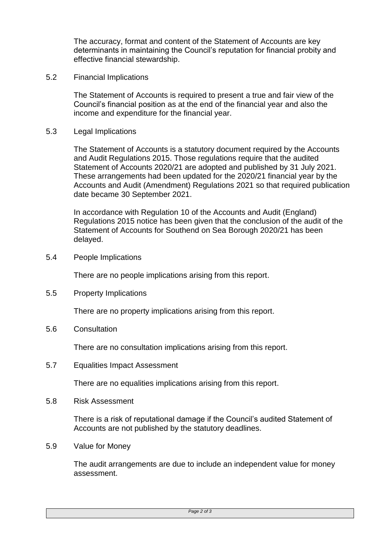The accuracy, format and content of the Statement of Accounts are key determinants in maintaining the Council's reputation for financial probity and effective financial stewardship.

5.2 Financial Implications

The Statement of Accounts is required to present a true and fair view of the Council's financial position as at the end of the financial year and also the income and expenditure for the financial year.

5.3 Legal Implications

The Statement of Accounts is a statutory document required by the Accounts and Audit Regulations 2015. Those regulations require that the audited Statement of Accounts 2020/21 are adopted and published by 31 July 2021. These arrangements had been updated for the 2020/21 financial year by the Accounts and Audit (Amendment) Regulations 2021 so that required publication date became 30 September 2021.

In accordance with Regulation 10 of the Accounts and Audit (England) Regulations 2015 notice has been given that the conclusion of the audit of the Statement of Accounts for Southend on Sea Borough 2020/21 has been delayed.

5.4 People Implications

There are no people implications arising from this report.

5.5 Property Implications

There are no property implications arising from this report.

5.6 Consultation

There are no consultation implications arising from this report.

5.7 Equalities Impact Assessment

There are no equalities implications arising from this report.

5.8 Risk Assessment

There is a risk of reputational damage if the Council's audited Statement of Accounts are not published by the statutory deadlines.

5.9 Value for Money

The audit arrangements are due to include an independent value for money assessment.